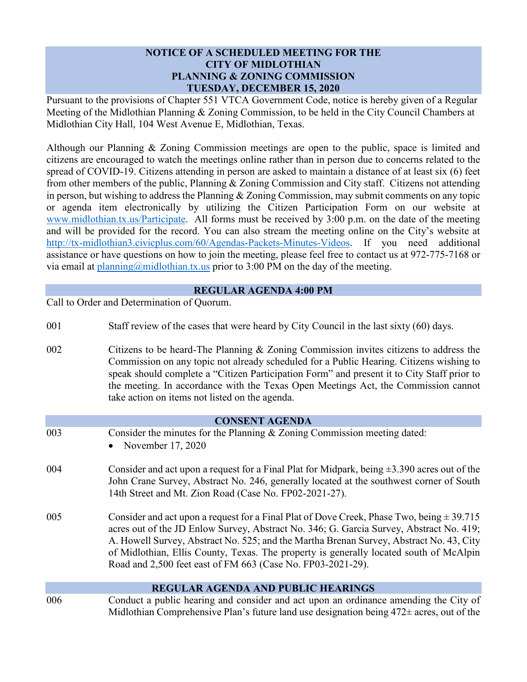## **NOTICE OF A SCHEDULED MEETING FOR THE CITY OF MIDLOTHIAN PLANNING & ZONING COMMISSION TUESDAY, DECEMBER 15, 2020**

Pursuant to the provisions of Chapter 551 VTCA Government Code, notice is hereby given of a Regular Meeting of the Midlothian Planning & Zoning Commission, to be held in the City Council Chambers at Midlothian City Hall, 104 West Avenue E, Midlothian, Texas.

Although our Planning & Zoning Commission meetings are open to the public, space is limited and citizens are encouraged to watch the meetings online rather than in person due to concerns related to the spread of COVID-19. Citizens attending in person are asked to maintain a distance of at least six (6) feet from other members of the public, Planning & Zoning Commission and City staff. Citizens not attending in person, but wishing to address the Planning & Zoning Commission, may submit comments on any topic or agenda item electronically by utilizing the Citizen Participation Form on our website at [www.midlothian.tx.us/Participate.](http://www.midlothian.tx.us/Participate) All forms must be received by 3:00 p.m. on the date of the meeting and will be provided for the record. You can also stream the meeting online on the City's website at [http://tx-midlothian3.civicplus.com/60/Agendas-Packets-Minutes-Videos.](http://tx-midlothian3.civicplus.com/60/Agendas-Packets-Minutes-Videos) If you need additional assistance or have questions on how to join the meeting, please feel free to contact us at 972-775-7168 or via email at  $planning@midlothian.txt.us$  prior to 3:00 PM on the day of the meeting.

## **REGULAR AGENDA 4:00 PM**

Call to Order and Determination of Quorum.

- 001 Staff review of the cases that were heard by City Council in the last sixty (60) days.
- 002 Citizens to be heard-The Planning & Zoning Commission invites citizens to address the Commission on any topic not already scheduled for a Public Hearing. Citizens wishing to speak should complete a "Citizen Participation Form" and present it to City Staff prior to the meeting. In accordance with the Texas Open Meetings Act, the Commission cannot take action on items not listed on the agenda.

| <b>CONSENT AGENDA</b> |                                                                                                                                                                                                                                                                                                                                                                                                                                              |  |
|-----------------------|----------------------------------------------------------------------------------------------------------------------------------------------------------------------------------------------------------------------------------------------------------------------------------------------------------------------------------------------------------------------------------------------------------------------------------------------|--|
| 003                   | Consider the minutes for the Planning & Zoning Commission meeting dated:<br>November 17, 2020                                                                                                                                                                                                                                                                                                                                                |  |
| 004                   | Consider and act upon a request for a Final Plat for Midpark, being $\pm 3.390$ acres out of the<br>John Crane Survey, Abstract No. 246, generally located at the southwest corner of South<br>14th Street and Mt. Zion Road (Case No. FP02-2021-27).                                                                                                                                                                                        |  |
| 005                   | Consider and act upon a request for a Final Plat of Dove Creek, Phase Two, being $\pm$ 39.715<br>acres out of the JD Enlow Survey, Abstract No. 346; G. Garcia Survey, Abstract No. 419;<br>A. Howell Survey, Abstract No. 525; and the Martha Brenan Survey, Abstract No. 43, City<br>of Midlothian, Ellis County, Texas. The property is generally located south of McAlpin<br>Road and 2,500 feet east of FM 663 (Case No. FP03-2021-29). |  |
|                       | <b>REGULAR AGENDA AND PUBLIC HEARINGS</b>                                                                                                                                                                                                                                                                                                                                                                                                    |  |
| 006                   | Conduct a public hearing and consider and act upon an ordinance amending the City of<br>Midlothian Comprehensive Plan's future land use designation being $472\pm$ acres, out of the                                                                                                                                                                                                                                                         |  |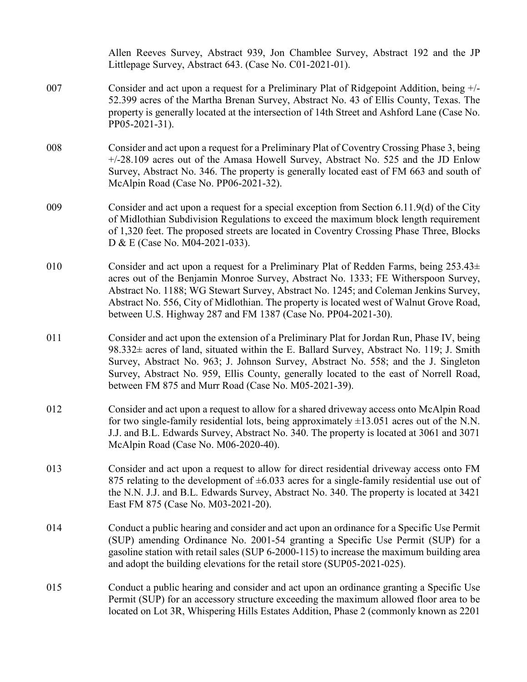|     | Allen Reeves Survey, Abstract 939, Jon Chamblee Survey, Abstract 192 and the JP<br>Littlepage Survey, Abstract 643. (Case No. C01-2021-01).                                                                                                                                                                                                                                                                                          |
|-----|--------------------------------------------------------------------------------------------------------------------------------------------------------------------------------------------------------------------------------------------------------------------------------------------------------------------------------------------------------------------------------------------------------------------------------------|
| 007 | Consider and act upon a request for a Preliminary Plat of Ridgepoint Addition, being +/-<br>52.399 acres of the Martha Brenan Survey, Abstract No. 43 of Ellis County, Texas. The<br>property is generally located at the intersection of 14th Street and Ashford Lane (Case No.<br>PP05-2021-31).                                                                                                                                   |
| 008 | Consider and act upon a request for a Preliminary Plat of Coventry Crossing Phase 3, being<br>+/-28.109 acres out of the Amasa Howell Survey, Abstract No. 525 and the JD Enlow<br>Survey, Abstract No. 346. The property is generally located east of FM 663 and south of<br>McAlpin Road (Case No. PP06-2021-32).                                                                                                                  |
| 009 | Consider and act upon a request for a special exception from Section 6.11.9(d) of the City<br>of Midlothian Subdivision Regulations to exceed the maximum block length requirement<br>of 1,320 feet. The proposed streets are located in Coventry Crossing Phase Three, Blocks<br>D & E (Case No. M04-2021-033).                                                                                                                     |
| 010 | Consider and act upon a request for a Preliminary Plat of Redden Farms, being $253.43\pm$<br>acres out of the Benjamin Monroe Survey, Abstract No. 1333; FE Witherspoon Survey,<br>Abstract No. 1188; WG Stewart Survey, Abstract No. 1245; and Coleman Jenkins Survey,<br>Abstract No. 556, City of Midlothian. The property is located west of Walnut Grove Road,<br>between U.S. Highway 287 and FM 1387 (Case No. PP04-2021-30). |
| 011 | Consider and act upon the extension of a Preliminary Plat for Jordan Run, Phase IV, being<br>98.332± acres of land, situated within the E. Ballard Survey, Abstract No. 119; J. Smith<br>Survey, Abstract No. 963; J. Johnson Survey, Abstract No. 558; and the J. Singleton<br>Survey, Abstract No. 959, Ellis County, generally located to the east of Norrell Road,<br>between FM 875 and Murr Road (Case No. M05-2021-39).       |
| 012 | Consider and act upon a request to allow for a shared driveway access onto McAlpin Road<br>for two single-family residential lots, being approximately $\pm 13.051$ acres out of the N.N.<br>J.J. and B.L. Edwards Survey, Abstract No. 340. The property is located at 3061 and 3071<br>McAlpin Road (Case No. M06-2020-40).                                                                                                        |
| 013 | Consider and act upon a request to allow for direct residential driveway access onto FM<br>875 relating to the development of $\pm 6.033$ acres for a single-family residential use out of<br>the N.N. J.J. and B.L. Edwards Survey, Abstract No. 340. The property is located at 3421<br>East FM 875 (Case No. M03-2021-20).                                                                                                        |
| 014 | Conduct a public hearing and consider and act upon an ordinance for a Specific Use Permit<br>(SUP) amending Ordinance No. 2001-54 granting a Specific Use Permit (SUP) for a<br>gasoline station with retail sales (SUP 6-2000-115) to increase the maximum building area<br>and adopt the building elevations for the retail store (SUP05-2021-025).                                                                                |
| 015 | Conduct a public hearing and consider and act upon an ordinance granting a Specific Use<br>Permit (SUP) for an accessory structure exceeding the maximum allowed floor area to be<br>located on Lot 3R, Whispering Hills Estates Addition, Phase 2 (commonly known as 2201                                                                                                                                                           |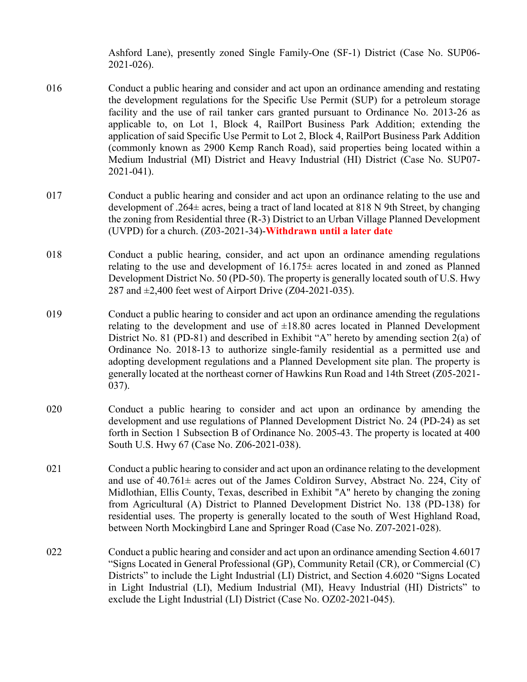Ashford Lane), presently zoned Single Family-One (SF-1) District (Case No. SUP06- 2021-026).

- 016 Conduct a public hearing and consider and act upon an ordinance amending and restating the development regulations for the Specific Use Permit (SUP) for a petroleum storage facility and the use of rail tanker cars granted pursuant to Ordinance No. 2013-26 as applicable to, on Lot 1, Block 4, RailPort Business Park Addition; extending the application of said Specific Use Permit to Lot 2, Block 4, RailPort Business Park Addition (commonly known as 2900 Kemp Ranch Road), said properties being located within a Medium Industrial (MI) District and Heavy Industrial (HI) District (Case No. SUP07- 2021-041).
- 017 Conduct a public hearing and consider and act upon an ordinance relating to the use and development of .264± acres, being a tract of land located at 818 N 9th Street, by changing the zoning from Residential three (R-3) District to an Urban Village Planned Development (UVPD) for a church. (Z03-2021-34)-**Withdrawn until a later date**
- 018 Conduct a public hearing, consider, and act upon an ordinance amending regulations relating to the use and development of  $16.175\pm$  acres located in and zoned as Planned Development District No. 50 (PD-50). The property is generally located south of U.S. Hwy 287 and  $\pm 2,400$  feet west of Airport Drive (Z04-2021-035).
- 019 Conduct a public hearing to consider and act upon an ordinance amending the regulations relating to the development and use of  $\pm 18.80$  acres located in Planned Development District No. 81 (PD-81) and described in Exhibit "A" hereto by amending section 2(a) of Ordinance No. 2018-13 to authorize single-family residential as a permitted use and adopting development regulations and a Planned Development site plan. The property is generally located at the northeast corner of Hawkins Run Road and 14th Street (Z05-2021- 037).
- 020 Conduct a public hearing to consider and act upon an ordinance by amending the development and use regulations of Planned Development District No. 24 (PD-24) as set forth in Section 1 Subsection B of Ordinance No. 2005-43. The property is located at 400 South U.S. Hwy 67 (Case No. Z06-2021-038).
- 021 Conduct a public hearing to consider and act upon an ordinance relating to the development and use of 40.761± acres out of the James Coldiron Survey, Abstract No. 224, City of Midlothian, Ellis County, Texas, described in Exhibit "A" hereto by changing the zoning from Agricultural (A) District to Planned Development District No. 138 (PD-138) for residential uses. The property is generally located to the south of West Highland Road, between North Mockingbird Lane and Springer Road (Case No. Z07-2021-028).
- 022 Conduct a public hearing and consider and act upon an ordinance amending Section 4.6017 "Signs Located in General Professional (GP), Community Retail (CR), or Commercial (C) Districts" to include the Light Industrial (LI) District, and Section 4.6020 "Signs Located in Light Industrial (LI), Medium Industrial (MI), Heavy Industrial (HI) Districts" to exclude the Light Industrial (LI) District (Case No. OZ02-2021-045).